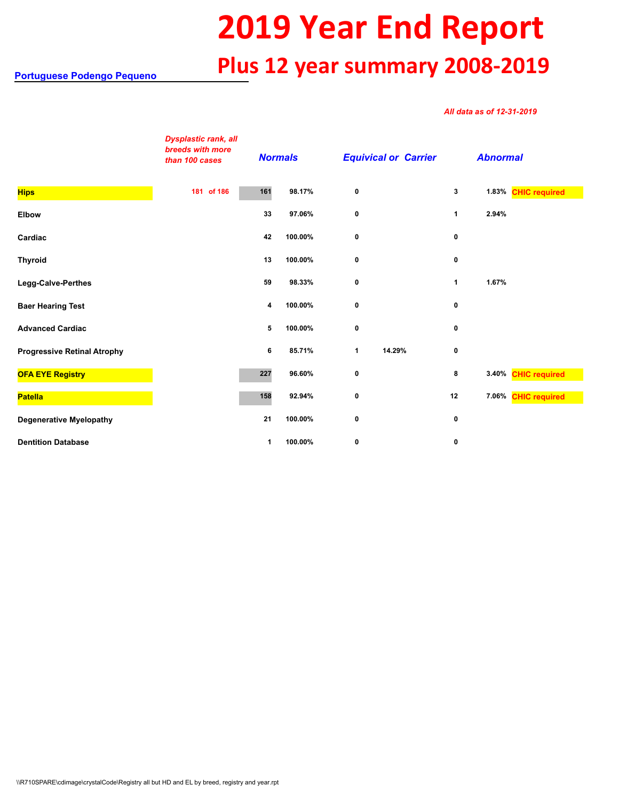## **2019 Year End Report Plus 12 year summary 2008-2019**

## *All data as of 12-31-2019*

|                                    | <b>Dysplastic rank, all</b><br>breeds with more<br>than 100 cases |     | <b>Normals</b> |             | <b>Equivical or Carrier</b> |    | <b>Abnormal</b> |                     |
|------------------------------------|-------------------------------------------------------------------|-----|----------------|-------------|-----------------------------|----|-----------------|---------------------|
| <b>Hips</b>                        | 181 of 186                                                        | 161 | 98.17%         | 0           |                             | 3  |                 | 1.83% CHIC required |
| Elbow                              |                                                                   | 33  | 97.06%         | 0           |                             | 1  | 2.94%           |                     |
| Cardiac                            |                                                                   | 42  | 100.00%        | 0           |                             | 0  |                 |                     |
| <b>Thyroid</b>                     |                                                                   | 13  | 100.00%        | 0           |                             | 0  |                 |                     |
| Legg-Calve-Perthes                 |                                                                   | 59  | 98.33%         | 0           |                             | 1  | 1.67%           |                     |
| <b>Baer Hearing Test</b>           |                                                                   | 4   | 100.00%        | $\mathbf 0$ |                             | 0  |                 |                     |
| <b>Advanced Cardiac</b>            |                                                                   | 5   | 100.00%        | 0           |                             | 0  |                 |                     |
| <b>Progressive Retinal Atrophy</b> |                                                                   | 6   | 85.71%         | 1           | 14.29%                      | 0  |                 |                     |
| <b>OFA EYE Registry</b>            |                                                                   | 227 | 96.60%         | 0           |                             | 8  |                 | 3.40% CHIC required |
| Patella                            |                                                                   | 158 | 92.94%         | 0           |                             | 12 |                 | 7.06% CHIC required |
| <b>Degenerative Myelopathy</b>     |                                                                   | 21  | 100.00%        | 0           |                             | 0  |                 |                     |
| <b>Dentition Database</b>          |                                                                   | 1   | 100.00%        | 0           |                             | 0  |                 |                     |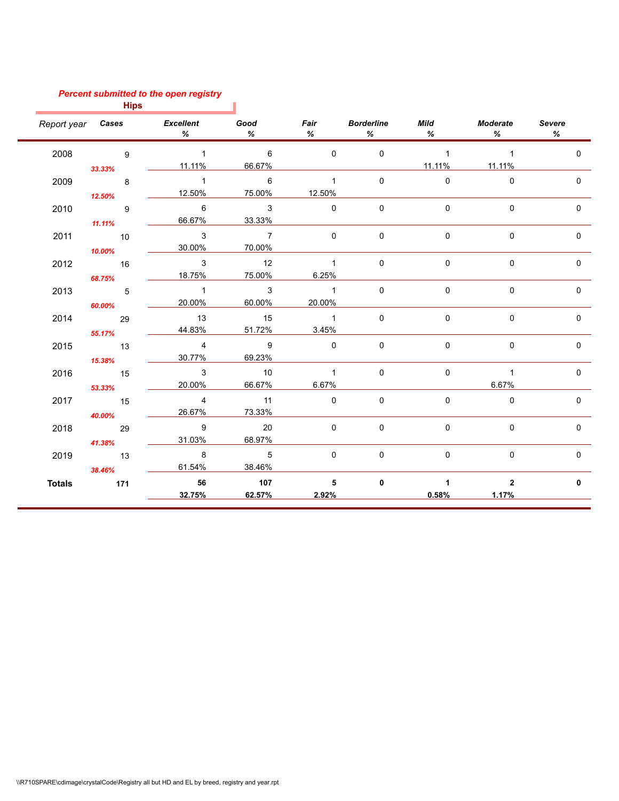## *Percent submitted to the open registry*

|               | <b>Hips</b>                             |                                         |                                   |                         |                         |                                  |                         |              |
|---------------|-----------------------------------------|-----------------------------------------|-----------------------------------|-------------------------|-------------------------|----------------------------------|-------------------------|--------------|
|               |                                         | Report year <b>Cases</b> Excellent<br>% | <b>Good</b><br>$\%$               | %                       | Fair Borderline<br>$\%$ | <b>Mild</b><br>$\%$              | Moderate<br>$\%$        | Severe<br>%  |
| 2008          | $\overline{9}$<br>33.33%                | $\overline{1}$<br>11.11%                | $6\overline{6}$<br>66.67%         | $\Omega$                | $\Omega$                | $\sim$ 1<br>11.11%               | $\sim$ 1<br>11.11%      | $\Omega$     |
| 2009          | 12.50%                                  | $\sim$ 1<br>12.50%                      | $\overline{6}$<br>75.00%          | $\sim$ 1<br>12.50%      | $\mathbf{0}$            | $\Omega$                         | $\Omega$                | $\Omega$     |
| 2010          | $\overline{\phantom{a}}$ 9<br>$11.11\%$ | 6<br>66.67%                             | $\overline{\mathbf{3}}$<br>33.33% | $\mathbf 0$             | $\Omega$                | 0                                | $\Omega$                | 0            |
| 2011          | 10<br>10.00%                            | $\overline{\mathbf{3}}$<br>30.00%       | $\overline{7}$<br>70.00%          | $\mathbf{0}$            | $\mathbf{0}$            | $\mathbf 0$                      | $\Omega$                | $\Omega$     |
| 2012          | $\overline{16}$<br>68.75%               | $\mathbf{3}$<br>18.75%                  | 12<br>75.00%                      | $\overline{1}$<br>6.25% | 0                       | $\mathbf 0$                      | 0                       | 0            |
| 2013          | $\overline{5}$<br>60.00%                | $\overline{1}$<br>20.00%                | $\overline{\mathbf{3}}$<br>60.00% | $\sim$ 1<br>20.00%      | $\mathbf{0}$            | 0                                | $\Omega$                | $\Omega$     |
| 2014          | 29<br>55.17%                            | 13<br>44.83%                            | 15<br>51.72%                      | $\overline{1}$<br>3.45% | $\mathbf 0$             | 0                                | $\mathbf 0$             | $\mathbf 0$  |
| 2015          | $\overline{13}$<br>15.38%               | $\overline{4}$<br>30.77%                | $\overline{9}$<br>69.23%          | $\overline{0}$          | $\mathbf 0$             | 0                                | $\mathbf 0$             | $\mathbf 0$  |
| 2016          | 15<br>53.33%                            | $\overline{\mathbf{3}}$<br>20.00%       | 10<br>66.67%                      | $\overline{1}$<br>6.67% | $\mathbf 0$             | $\mathbf 0$                      | $\overline{1}$<br>6.67% | $\mathbf 0$  |
| 2017          | 15<br>40.00%                            | $\overline{4}$<br>26.67%                | 11<br>73.33%                      | $\overline{0}$          | $\mathbf{0}$            | 0                                | $\Omega$                | $\mathbf 0$  |
| 2018          | 29<br>41.38%                            | $\overline{9}$<br>31.03%                | 20<br>68.97%                      | $\mathbf 0$             | $\mathbf 0$             | 0                                | $\mathbf 0$             | $\mathbf 0$  |
| 2019          | $\overline{13}$<br>38.46%               | $\overline{\phantom{a}}$ 8<br>61.54%    | $\overline{5}$<br>38.46%          | $\Omega$                | $\mathbf 0$             | 0                                | $\Omega$                | $\mathbf 0$  |
| <b>Totals</b> | 171                                     | 56<br>32.75%                            | 107<br>62.57%                     | 5 <sup>5</sup><br>2.92% | $\mathbf{0}$            | $\blacktriangleleft$<br>$0.58\%$ | $\overline{2}$<br>1.17% | $\mathbf{0}$ |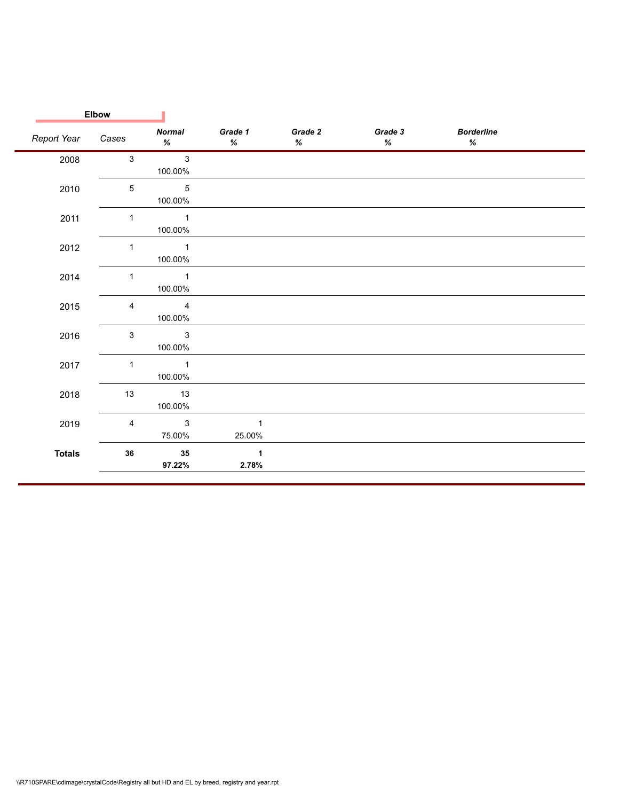| Report Year   |                           |                                    |                        |                 |                 |                           |  |
|---------------|---------------------------|------------------------------------|------------------------|-----------------|-----------------|---------------------------|--|
|               | Cases                     | <b>Normal</b><br>$\%$              | Grade 1<br>$\%$        | Grade 2<br>$\%$ | Grade 3<br>$\%$ | <b>Borderline</b><br>$\%$ |  |
| 2008          | $\mathbf{3}$              | $\mathbf{3}$<br>100.00%            |                        |                 |                 |                           |  |
| 2010          | $\,$ 5 $\,$               | $\sqrt{5}$<br>100.00%              |                        |                 |                 |                           |  |
| 2011          | 1                         | $\mathbf{1}$<br>100.00%            |                        |                 |                 |                           |  |
| 2012          | 1                         | $\mathbf{1}$<br>100.00%            |                        |                 |                 |                           |  |
| 2014          | 1                         | $\mathbf{1}$<br>100.00%            |                        |                 |                 |                           |  |
| 2015          | 4                         | $\overline{\mathbf{4}}$<br>100.00% |                        |                 |                 |                           |  |
| 2016          | $\ensuremath{\mathsf{3}}$ | $\mathbf{3}$<br>100.00%            |                        |                 |                 |                           |  |
| 2017          | 1                         | $\mathbf{1}$<br>100.00%            |                        |                 |                 |                           |  |
| 2018          | 13                        | 13<br>100.00%                      |                        |                 |                 |                           |  |
| 2019          | 4                         | $\mathsf 3$<br>75.00%              | $\mathbf{1}$<br>25.00% |                 |                 |                           |  |
| <b>Totals</b> | ${\bf 36}$                | 35<br>97.22%                       | $\mathbf{1}$<br>2.78%  |                 |                 |                           |  |
|               |                           |                                    |                        |                 |                 |                           |  |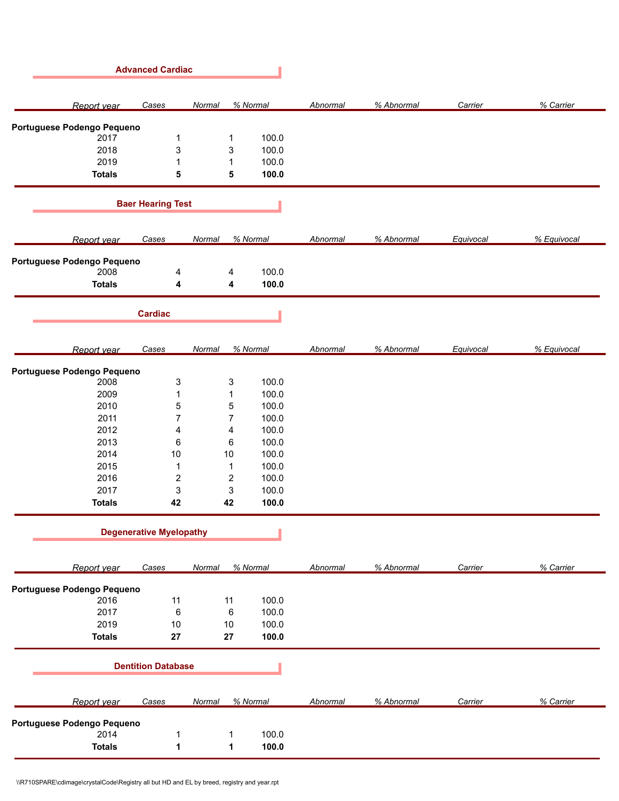| <b>Advanced Cardiac</b>    |                                |                         |          |                 |            |           |             |
|----------------------------|--------------------------------|-------------------------|----------|-----------------|------------|-----------|-------------|
| Report year                | Cases                          | Normal                  | % Normal | <b>Abnormal</b> | % Abnormal | Carrier   | % Carrier   |
| Portuguese Podengo Pequeno |                                |                         |          |                 |            |           |             |
| 2017                       | 1                              | $\mathbf 1$             | 100.0    |                 |            |           |             |
| 2018                       | 3                              | 3                       | 100.0    |                 |            |           |             |
| 2019                       | 1                              | $\mathbf{1}$            | 100.0    |                 |            |           |             |
| <b>Totals</b>              | 5                              | 5                       | 100.0    |                 |            |           |             |
|                            | <b>Baer Hearing Test</b>       |                         |          |                 |            |           |             |
| Report year                | Cases                          | Normal                  | % Normal | Abnormal        | % Abnormal | Equivocal | % Equivocal |
| Portuguese Podengo Pequeno |                                |                         |          |                 |            |           |             |
| 2008                       | 4                              | 4                       | 100.0    |                 |            |           |             |
| <b>Totals</b>              | 4                              | 4                       | 100.0    |                 |            |           |             |
|                            | <b>Cardiac</b>                 |                         |          |                 |            |           |             |
| Report year                | <b>Cases</b>                   | Normal                  | % Normal | Abnormal        | % Abnormal | Equivocal | % Equivocal |
| Portuguese Podengo Pequeno |                                |                         |          |                 |            |           |             |
| 2008                       | 3                              | 3                       | 100.0    |                 |            |           |             |
| 2009                       | 1                              | $\mathbf 1$             | 100.0    |                 |            |           |             |
| 2010                       | 5                              | $\mathbf 5$             | 100.0    |                 |            |           |             |
| 2011                       | $\overline{7}$                 | $\overline{7}$          | 100.0    |                 |            |           |             |
| 2012                       | 4                              | 4                       | 100.0    |                 |            |           |             |
| 2013                       | 6                              | 6                       | 100.0    |                 |            |           |             |
| 2014                       | 10                             | $10$                    | 100.0    |                 |            |           |             |
| 2015                       | 1                              | $\mathbf{1}$            | 100.0    |                 |            |           |             |
| 2016                       | $\overline{\mathbf{c}}$        | $\overline{\mathbf{c}}$ | 100.0    |                 |            |           |             |
| 2017                       | $\ensuremath{\mathsf{3}}$      | 3                       | 100.0    |                 |            |           |             |
| <b>Totals</b>              | 42                             | 42                      | 100.0    |                 |            |           |             |
|                            | <b>Degenerative Myelopathy</b> |                         |          |                 |            |           |             |
| Report year                | Cases                          | Normal                  | % Normal | Abnormal        | % Abnormal | Carrier   | % Carrier   |
| Portuguese Podengo Pequeno |                                |                         |          |                 |            |           |             |
| 2016                       | 11                             | 11                      | 100.0    |                 |            |           |             |
| 2017                       | $\,6\,$                        | $\,6\,$                 | 100.0    |                 |            |           |             |
| 2019                       | $10$                           | 10                      | 100.0    |                 |            |           |             |
| <b>Totals</b>              | 27                             | 27                      | 100.0    |                 |            |           |             |
| <b>Dentition Database</b>  |                                |                         |          |                 |            |           |             |
| Report year                | Cases                          | Normal                  | % Normal | Abnormal        | % Abnormal | Carrier   | % Carrier   |
| Portuguese Podengo Pequeno |                                |                         |          |                 |            |           |             |
| 2014                       | 1                              | 1                       | 100.0    |                 |            |           |             |
| <b>Totals</b>              | 1                              | 1                       | 100.0    |                 |            |           |             |
|                            |                                |                         |          |                 |            |           |             |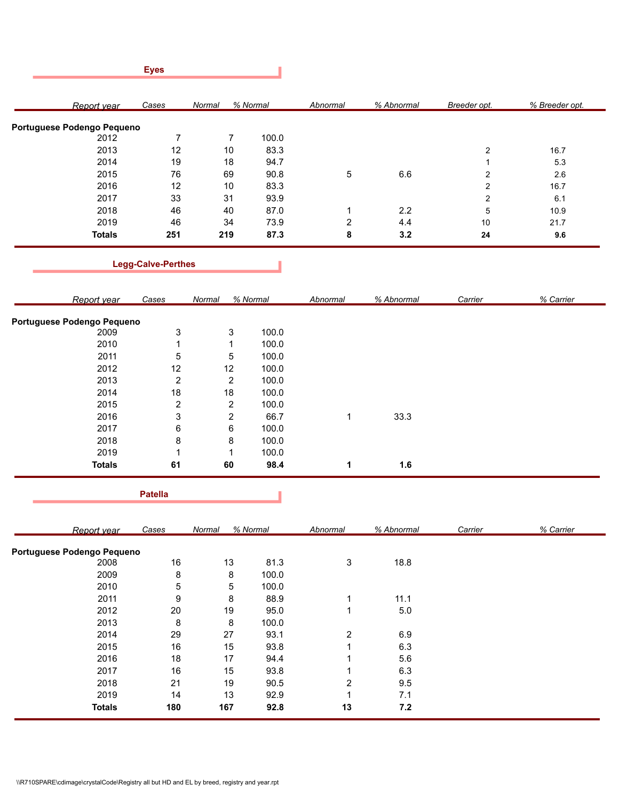|             |                            | <b>Eyes</b> |                    |       |                         |            |                |                |
|-------------|----------------------------|-------------|--------------------|-------|-------------------------|------------|----------------|----------------|
| Report vear |                            | Cases       | % Normal<br>Normal |       | Abnormal                | % Abnormal | Breeder opt.   | % Breeder opt. |
|             | Portuguese Podengo Pequeno |             |                    |       |                         |            |                |                |
|             | 2012                       | 7           | 7                  | 100.0 |                         |            |                |                |
|             | 2013                       | 12          | 10                 | 83.3  |                         |            | $\overline{2}$ | 16.7           |
|             | 2014                       | 19          | 18                 | 94.7  |                         |            |                | 5.3            |
|             | 2015                       | 76          | 69                 | 90.8  | 5                       | 6.6        | $\overline{2}$ | 2.6            |
|             | 2016                       | 12          | 10                 | 83.3  |                         |            | $\overline{2}$ | 16.7           |
|             | 2017                       | 33          | 31                 | 93.9  |                         |            | $\overline{2}$ | 6.1            |
|             | 2018                       | 46          | 40                 | 87.0  | $\overline{\mathbf{A}}$ | 2.2        | 5              | 10.9           |
|             | 2019                       | 46          | 34                 | 73.9  | 2                       | 4.4        | 10             | 21.7           |
|             | <b>Totals</b>              | 251         | 219                | 87.3  | 8                       | 3.2        | 24             | 9.6            |

**Legg-Calve-Perthes**

| Report year                | Cases | Normal         | % Normal | Abnormal | % Abnormal | Carrier | % Carrier |
|----------------------------|-------|----------------|----------|----------|------------|---------|-----------|
| Portuguese Podengo Pequeno |       |                |          |          |            |         |           |
| 2009                       | 3     | 3              | 100.0    |          |            |         |           |
| 2010                       |       |                | 100.0    |          |            |         |           |
| 2011                       | 5     | 5              | 100.0    |          |            |         |           |
| 2012                       | 12    | 12             | 100.0    |          |            |         |           |
| 2013                       | 2     | $\overline{2}$ | 100.0    |          |            |         |           |
| 2014                       | 18    | 18             | 100.0    |          |            |         |           |
| 2015                       | 2     | 2              | 100.0    |          |            |         |           |
| 2016                       | 3     | 2              | 66.7     | 1        | 33.3       |         |           |
| 2017                       | 6     | 6              | 100.0    |          |            |         |           |
| 2018                       | 8     | 8              | 100.0    |          |            |         |           |
| 2019                       |       | и              | 100.0    |          |            |         |           |
| <b>Totals</b>              | 61    | 60             | 98.4     | 1        | 1.6        |         |           |

**Patella**

J

 $\sim 100$ 

|                            | Report vear   | Cases | Normal | % Normal | Abnormal       | % Abnormal | Carrier | % Carrier |
|----------------------------|---------------|-------|--------|----------|----------------|------------|---------|-----------|
| Portuguese Podengo Pequeno |               |       |        |          |                |            |         |           |
|                            | 2008          | 16    | 13     | 81.3     | 3              | 18.8       |         |           |
|                            | 2009          | 8     | 8      | 100.0    |                |            |         |           |
|                            | 2010          | 5     | 5      | 100.0    |                |            |         |           |
|                            | 2011          | 9     | 8      | 88.9     |                | 11.1       |         |           |
|                            | 2012          | 20    | 19     | 95.0     |                | 5.0        |         |           |
|                            | 2013          | 8     | 8      | 100.0    |                |            |         |           |
|                            | 2014          | 29    | 27     | 93.1     | $\overline{2}$ | 6.9        |         |           |
|                            | 2015          | 16    | 15     | 93.8     |                | 6.3        |         |           |
|                            | 2016          | 18    | 17     | 94.4     |                | 5.6        |         |           |
|                            | 2017          | 16    | 15     | 93.8     |                | 6.3        |         |           |
|                            | 2018          | 21    | 19     | 90.5     | 2              | 9.5        |         |           |
|                            | 2019          | 14    | 13     | 92.9     |                | 7.1        |         |           |
|                            | <b>Totals</b> | 180   | 167    | 92.8     | 13             | 7.2        |         |           |